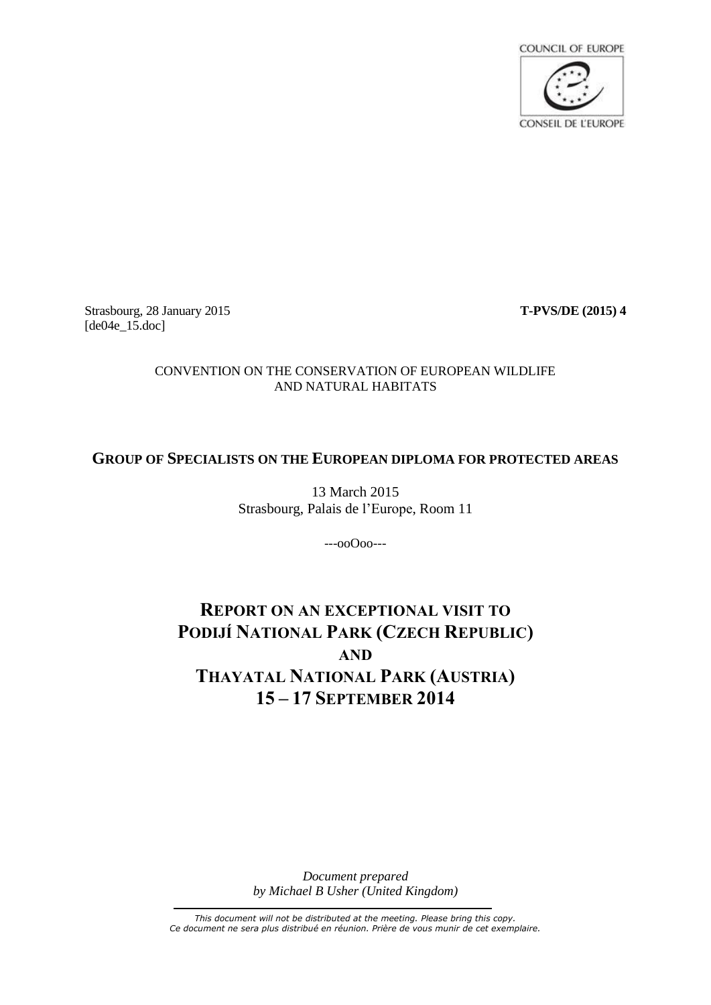

Strasbourg, 28 January 2015 **T-PVS/DE (2015) 4** [de04e\_15.doc]

# CONVENTION ON THE CONSERVATION OF EUROPEAN WILDLIFE AND NATURAL HABITATS

# **GROUP OF SPECIALISTS ON THE EUROPEAN DIPLOMA FOR PROTECTED AREAS**

13 March 2015 Strasbourg, Palais de l'Europe, Room 11

---ooOoo---

# **REPORT ON AN EXCEPTIONAL VISIT TO PODIJÍ NATIONAL PARK (CZECH REPUBLIC) AND THAYATAL NATIONAL PARK (AUSTRIA) 15 – 17 SEPTEMBER 2014**

*Document prepared by Michael B Usher (United Kingdom)*

*This document will not be distributed at the meeting. Please bring this copy. Ce document ne sera plus distribué en réunion. Prière de vous munir de cet exemplaire.*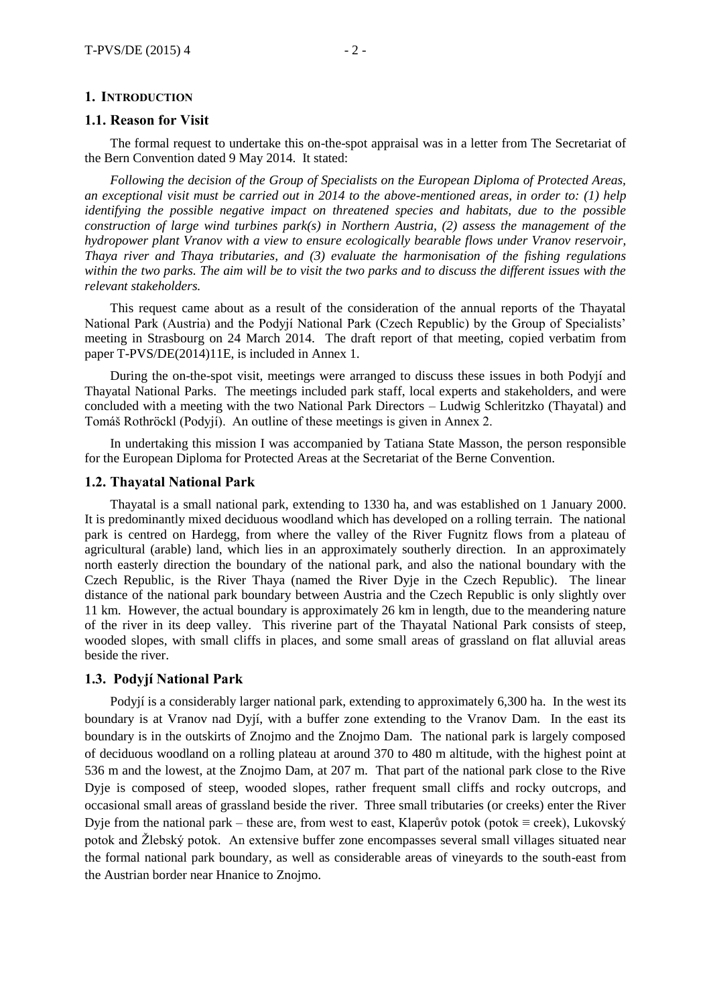#### **1. INTRODUCTION**

#### **1.1. Reason for Visit**

The formal request to undertake this on-the-spot appraisal was in a letter from The Secretariat of the Bern Convention dated 9 May 2014. It stated:

*Following the decision of the Group of Specialists on the European Diploma of Protected Areas, an exceptional visit must be carried out in 2014 to the above-mentioned areas, in order to: (1) help identifying the possible negative impact on threatened species and habitats, due to the possible construction of large wind turbines park(s) in Northern Austria, (2) assess the management of the hydropower plant Vranov with a view to ensure ecologically bearable flows under Vranov reservoir, Thaya river and Thaya tributaries, and (3) evaluate the harmonisation of the fishing regulations within the two parks. The aim will be to visit the two parks and to discuss the different issues with the relevant stakeholders.*

This request came about as a result of the consideration of the annual reports of the Thayatal National Park (Austria) and the Podyjí National Park (Czech Republic) by the Group of Specialists' meeting in Strasbourg on 24 March 2014. The draft report of that meeting, copied verbatim from paper T-PVS/DE(2014)11E, is included in Annex 1.

During the on-the-spot visit, meetings were arranged to discuss these issues in both Podyjí and Thayatal National Parks. The meetings included park staff, local experts and stakeholders, and were concluded with a meeting with the two National Park Directors – Ludwig Schleritzko (Thayatal) and Tomáš Rothröckl (Podyjí). An outline of these meetings is given in Annex 2.

In undertaking this mission I was accompanied by Tatiana State Masson, the person responsible for the European Diploma for Protected Areas at the Secretariat of the Berne Convention.

#### **1.2. Thayatal National Park**

Thayatal is a small national park, extending to 1330 ha, and was established on 1 January 2000. It is predominantly mixed deciduous woodland which has developed on a rolling terrain. The national park is centred on Hardegg, from where the valley of the River Fugnitz flows from a plateau of agricultural (arable) land, which lies in an approximately southerly direction. In an approximately north easterly direction the boundary of the national park, and also the national boundary with the Czech Republic, is the River Thaya (named the River Dyje in the Czech Republic). The linear distance of the national park boundary between Austria and the Czech Republic is only slightly over 11 km. However, the actual boundary is approximately 26 km in length, due to the meandering nature of the river in its deep valley. This riverine part of the Thayatal National Park consists of steep, wooded slopes, with small cliffs in places, and some small areas of grassland on flat alluvial areas beside the river.

#### **1.3. Podyjí National Park**

Podyjí is a considerably larger national park, extending to approximately 6,300 ha. In the west its boundary is at Vranov nad Dyjí, with a buffer zone extending to the Vranov Dam. In the east its boundary is in the outskirts of Znojmo and the Znojmo Dam. The national park is largely composed of deciduous woodland on a rolling plateau at around 370 to 480 m altitude, with the highest point at 536 m and the lowest, at the Znojmo Dam, at 207 m. That part of the national park close to the Rive Dyje is composed of steep, wooded slopes, rather frequent small cliffs and rocky outcrops, and occasional small areas of grassland beside the river. Three small tributaries (or creeks) enter the River Dyje from the national park – these are, from west to east, Klaperův potok (potok ≡ creek), Lukovský potok and Žlebský potok. An extensive buffer zone encompasses several small villages situated near the formal national park boundary, as well as considerable areas of vineyards to the south-east from the Austrian border near Hnanice to Znojmo.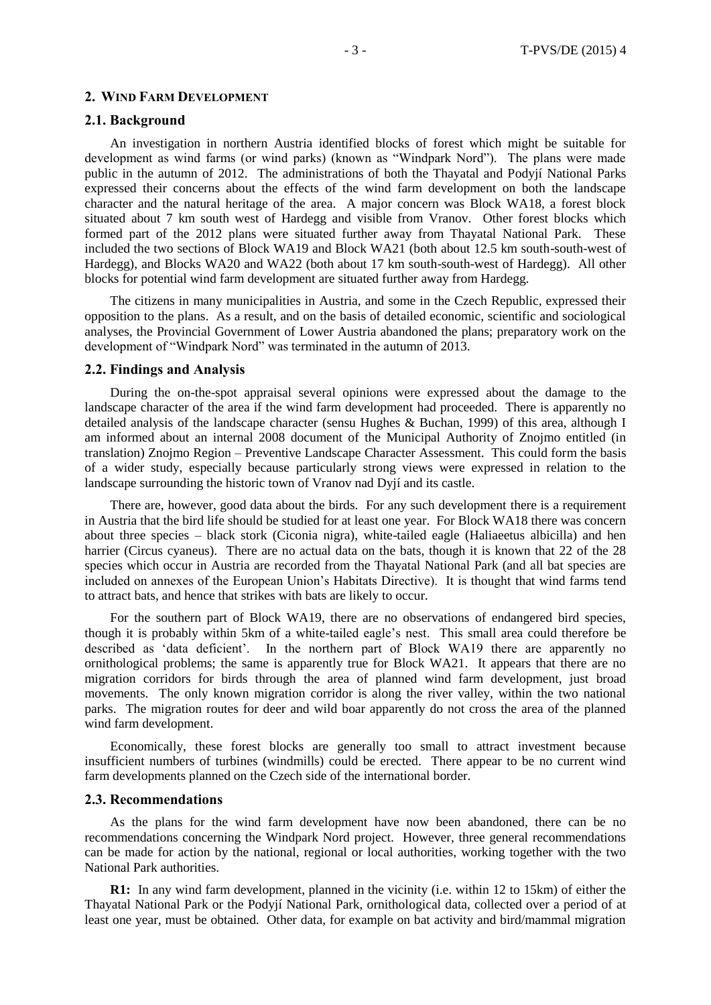#### **2. WIND FARM DEVELOPMENT**

#### **2.1. Background**

An investigation in northern Austria identified blocks of forest which might be suitable for development as wind farms (or wind parks) (known as "Windpark Nord"). The plans were made public in the autumn of 2012. The administrations of both the Thayatal and Podyjí National Parks expressed their concerns about the effects of the wind farm development on both the landscape character and the natural heritage of the area. A major concern was Block WA18, a forest block situated about 7 km south west of Hardegg and visible from Vranov. Other forest blocks which formed part of the 2012 plans were situated further away from Thayatal National Park. These included the two sections of Block WA19 and Block WA21 (both about 12.5 km south-south-west of Hardegg), and Blocks WA20 and WA22 (both about 17 km south-south-west of Hardegg). All other blocks for potential wind farm development are situated further away from Hardegg.

The citizens in many municipalities in Austria, and some in the Czech Republic, expressed their opposition to the plans. As a result, and on the basis of detailed economic, scientific and sociological analyses, the Provincial Government of Lower Austria abandoned the plans; preparatory work on the development of "Windpark Nord" was terminated in the autumn of 2013.

#### **2.2. Findings and Analysis**

During the on-the-spot appraisal several opinions were expressed about the damage to the landscape character of the area if the wind farm development had proceeded. There is apparently no detailed analysis of the landscape character (sensu Hughes & Buchan, 1999) of this area, although I am informed about an internal 2008 document of the Municipal Authority of Znojmo entitled (in translation) Znojmo Region – Preventive Landscape Character Assessment. This could form the basis of a wider study, especially because particularly strong views were expressed in relation to the landscape surrounding the historic town of Vranov nad Dyjí and its castle.

There are, however, good data about the birds. For any such development there is a requirement in Austria that the bird life should be studied for at least one year. For Block WA18 there was concern about three species – black stork (Ciconia nigra), white-tailed eagle (Haliaeetus albicilla) and hen harrier (Circus cyaneus). There are no actual data on the bats, though it is known that 22 of the 28 species which occur in Austria are recorded from the Thayatal National Park (and all bat species are included on annexes of the European Union's Habitats Directive). It is thought that wind farms tend to attract bats, and hence that strikes with bats are likely to occur.

For the southern part of Block WA19, there are no observations of endangered bird species, though it is probably within 5km of a white-tailed eagle's nest. This small area could therefore be described as 'data deficient'. In the northern part of Block WA19 there are apparently no ornithological problems; the same is apparently true for Block WA21. It appears that there are no migration corridors for birds through the area of planned wind farm development, just broad movements. The only known migration corridor is along the river valley, within the two national parks. The migration routes for deer and wild boar apparently do not cross the area of the planned wind farm development.

Economically, these forest blocks are generally too small to attract investment because insufficient numbers of turbines (windmills) could be erected. There appear to be no current wind farm developments planned on the Czech side of the international border.

#### **2.3. Recommendations**

As the plans for the wind farm development have now been abandoned, there can be no recommendations concerning the Windpark Nord project. However, three general recommendations can be made for action by the national, regional or local authorities, working together with the two National Park authorities.

**R1:** In any wind farm development, planned in the vicinity (i.e. within 12 to 15km) of either the Thayatal National Park or the Podyjí National Park, ornithological data, collected over a period of at least one year, must be obtained. Other data, for example on bat activity and bird/mammal migration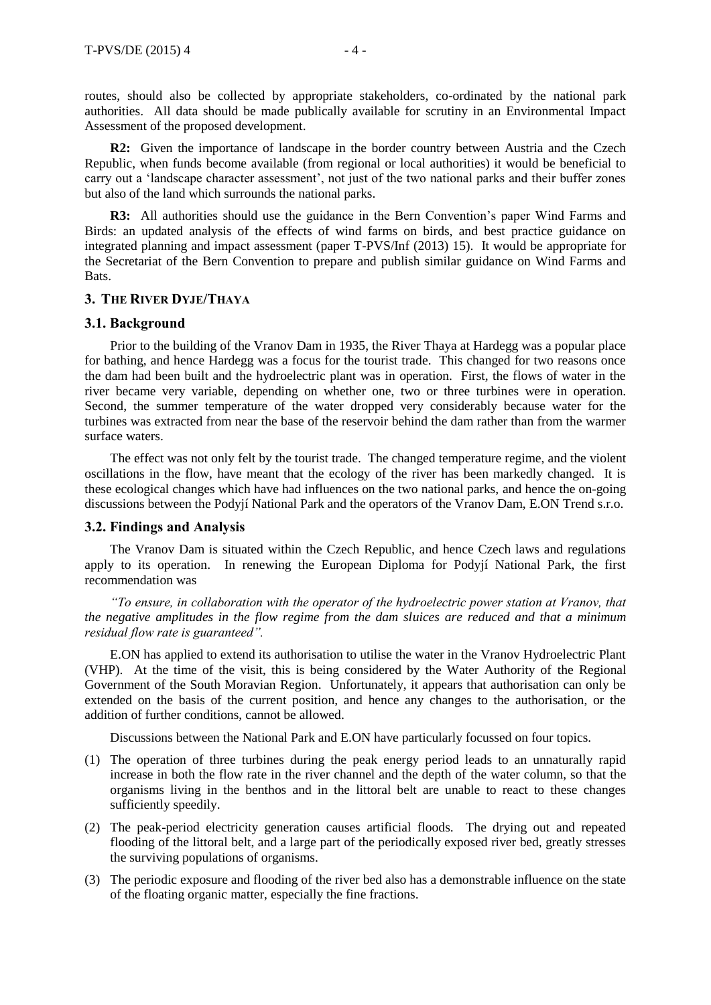routes, should also be collected by appropriate stakeholders, co-ordinated by the national park authorities. All data should be made publically available for scrutiny in an Environmental Impact Assessment of the proposed development.

**R2:** Given the importance of landscape in the border country between Austria and the Czech Republic, when funds become available (from regional or local authorities) it would be beneficial to carry out a 'landscape character assessment', not just of the two national parks and their buffer zones but also of the land which surrounds the national parks.

**R3:** All authorities should use the guidance in the Bern Convention's paper Wind Farms and Birds: an updated analysis of the effects of wind farms on birds, and best practice guidance on integrated planning and impact assessment (paper T-PVS/Inf (2013) 15). It would be appropriate for the Secretariat of the Bern Convention to prepare and publish similar guidance on Wind Farms and Bats.

# **3. THE RIVER DYJE/THAYA**

# **3.1. Background**

Prior to the building of the Vranov Dam in 1935, the River Thaya at Hardegg was a popular place for bathing, and hence Hardegg was a focus for the tourist trade. This changed for two reasons once the dam had been built and the hydroelectric plant was in operation. First, the flows of water in the river became very variable, depending on whether one, two or three turbines were in operation. Second, the summer temperature of the water dropped very considerably because water for the turbines was extracted from near the base of the reservoir behind the dam rather than from the warmer surface waters.

The effect was not only felt by the tourist trade. The changed temperature regime, and the violent oscillations in the flow, have meant that the ecology of the river has been markedly changed. It is these ecological changes which have had influences on the two national parks, and hence the on-going discussions between the Podyjí National Park and the operators of the Vranov Dam, E.ON Trend s.r.o.

#### **3.2. Findings and Analysis**

The Vranov Dam is situated within the Czech Republic, and hence Czech laws and regulations apply to its operation. In renewing the European Diploma for Podyjí National Park, the first recommendation was

*"To ensure, in collaboration with the operator of the hydroelectric power station at Vranov, that the negative amplitudes in the flow regime from the dam sluices are reduced and that a minimum residual flow rate is guaranteed".*

E.ON has applied to extend its authorisation to utilise the water in the Vranov Hydroelectric Plant (VHP). At the time of the visit, this is being considered by the Water Authority of the Regional Government of the South Moravian Region. Unfortunately, it appears that authorisation can only be extended on the basis of the current position, and hence any changes to the authorisation, or the addition of further conditions, cannot be allowed.

Discussions between the National Park and E.ON have particularly focussed on four topics.

- (1) The operation of three turbines during the peak energy period leads to an unnaturally rapid increase in both the flow rate in the river channel and the depth of the water column, so that the organisms living in the benthos and in the littoral belt are unable to react to these changes sufficiently speedily.
- (2) The peak-period electricity generation causes artificial floods. The drying out and repeated flooding of the littoral belt, and a large part of the periodically exposed river bed, greatly stresses the surviving populations of organisms.
- (3) The periodic exposure and flooding of the river bed also has a demonstrable influence on the state of the floating organic matter, especially the fine fractions.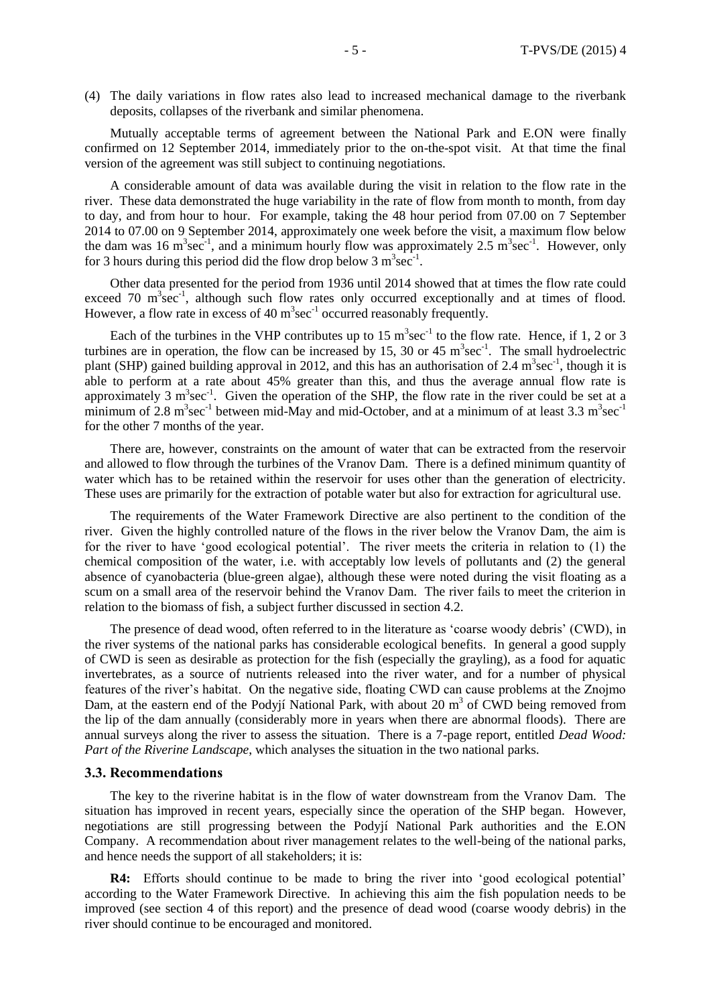(4) The daily variations in flow rates also lead to increased mechanical damage to the riverbank deposits, collapses of the riverbank and similar phenomena.

Mutually acceptable terms of agreement between the National Park and E.ON were finally confirmed on 12 September 2014, immediately prior to the on-the-spot visit. At that time the final version of the agreement was still subject to continuing negotiations.

A considerable amount of data was available during the visit in relation to the flow rate in the river. These data demonstrated the huge variability in the rate of flow from month to month, from day to day, and from hour to hour. For example, taking the 48 hour period from 07.00 on 7 September 2014 to 07.00 on 9 September 2014, approximately one week before the visit, a maximum flow below the dam was 16 m<sup>3</sup>sec<sup>-1</sup>, and a minimum hourly flow was approximately 2.5 m<sup>3</sup>sec<sup>-1</sup>. However, only for 3 hours during this period did the flow drop below 3  $m^3$  sec<sup>-1</sup>.

Other data presented for the period from 1936 until 2014 showed that at times the flow rate could exceed 70  $m<sup>3</sup>sec<sup>-1</sup>$ , although such flow rates only occurred exceptionally and at times of flood. However, a flow rate in excess of 40  $m^3$ sec<sup>-1</sup> occurred reasonably frequently.

Each of the turbines in the VHP contributes up to  $15 \text{ m}^3 \text{sec}^{-1}$  to the flow rate. Hence, if 1, 2 or 3 turbines are in operation, the flow can be increased by 15, 30 or 45  $m^3$ sec<sup>-1</sup>. The small hydroelectric plant (SHP) gained building approval in 2012, and this has an authorisation of 2.4  $m^3 sec^{-1}$ , though it is able to perform at a rate about 45% greater than this, and thus the average annual flow rate is approximately 3  $m^3$ sec<sup>-1</sup>. Given the operation of the SHP, the flow rate in the river could be set at a minimum of 2.8 m<sup>3</sup>sec<sup>-1</sup> between mid-May and mid-October, and at a minimum of at least 3.3 m<sup>3</sup>sec<sup>-1</sup> for the other 7 months of the year.

There are, however, constraints on the amount of water that can be extracted from the reservoir and allowed to flow through the turbines of the Vranov Dam. There is a defined minimum quantity of water which has to be retained within the reservoir for uses other than the generation of electricity. These uses are primarily for the extraction of potable water but also for extraction for agricultural use.

The requirements of the Water Framework Directive are also pertinent to the condition of the river. Given the highly controlled nature of the flows in the river below the Vranov Dam, the aim is for the river to have 'good ecological potential'. The river meets the criteria in relation to (1) the chemical composition of the water, i.e. with acceptably low levels of pollutants and (2) the general absence of cyanobacteria (blue-green algae), although these were noted during the visit floating as a scum on a small area of the reservoir behind the Vranov Dam. The river fails to meet the criterion in relation to the biomass of fish, a subject further discussed in section 4.2.

The presence of dead wood, often referred to in the literature as 'coarse woody debris' (CWD), in the river systems of the national parks has considerable ecological benefits. In general a good supply of CWD is seen as desirable as protection for the fish (especially the grayling), as a food for aquatic invertebrates, as a source of nutrients released into the river water, and for a number of physical features of the river's habitat. On the negative side, floating CWD can cause problems at the Znojmo Dam, at the eastern end of the Podyjí National Park, with about 20  $m<sup>3</sup>$  of CWD being removed from the lip of the dam annually (considerably more in years when there are abnormal floods). There are annual surveys along the river to assess the situation. There is a 7-page report, entitled *Dead Wood: Part of the Riverine Landscape*, which analyses the situation in the two national parks.

#### **3.3. Recommendations**

The key to the riverine habitat is in the flow of water downstream from the Vranov Dam. The situation has improved in recent years, especially since the operation of the SHP began. However, negotiations are still progressing between the Podyjí National Park authorities and the E.ON Company. A recommendation about river management relates to the well-being of the national parks, and hence needs the support of all stakeholders; it is:

**R4:** Efforts should continue to be made to bring the river into 'good ecological potential' according to the Water Framework Directive. In achieving this aim the fish population needs to be improved (see section 4 of this report) and the presence of dead wood (coarse woody debris) in the river should continue to be encouraged and monitored.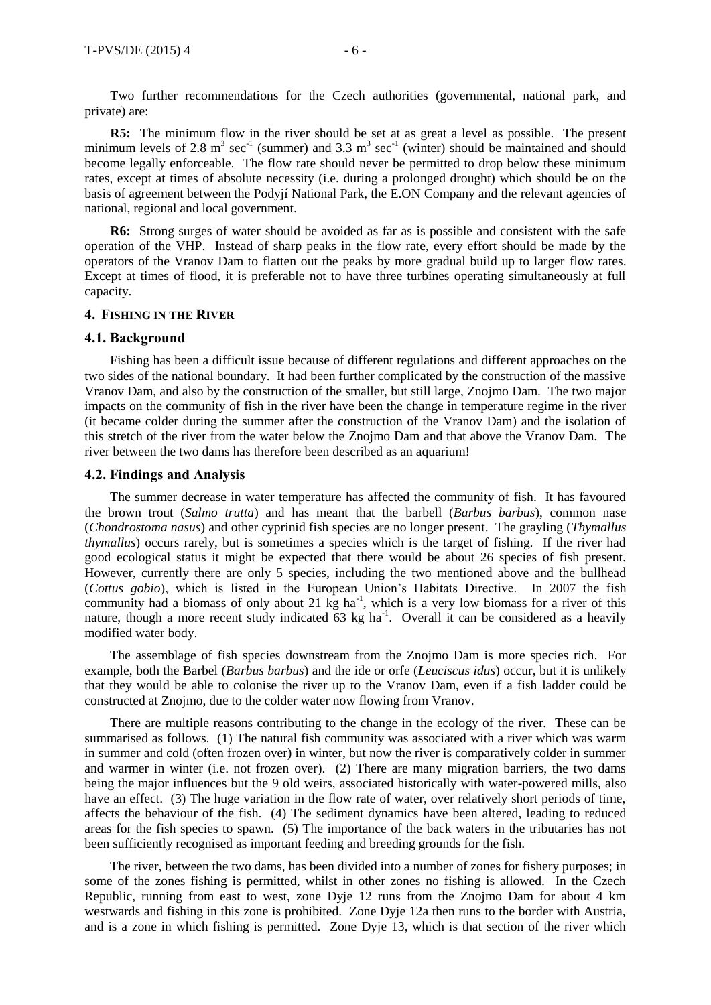Two further recommendations for the Czech authorities (governmental, national park, and private) are:

**R5:** The minimum flow in the river should be set at as great a level as possible. The present minimum levels of 2.8 m<sup>3</sup> sec<sup>-1</sup> (summer) and 3.3 m<sup>3</sup> sec<sup>-1</sup> (winter) should be maintained and should become legally enforceable. The flow rate should never be permitted to drop below these minimum rates, except at times of absolute necessity (i.e. during a prolonged drought) which should be on the basis of agreement between the Podyjí National Park, the E.ON Company and the relevant agencies of national, regional and local government.

**R6:** Strong surges of water should be avoided as far as is possible and consistent with the safe operation of the VHP. Instead of sharp peaks in the flow rate, every effort should be made by the operators of the Vranov Dam to flatten out the peaks by more gradual build up to larger flow rates. Except at times of flood, it is preferable not to have three turbines operating simultaneously at full capacity.

#### **4. FISHING IN THE RIVER**

#### **4.1. Background**

Fishing has been a difficult issue because of different regulations and different approaches on the two sides of the national boundary. It had been further complicated by the construction of the massive Vranov Dam, and also by the construction of the smaller, but still large, Znojmo Dam. The two major impacts on the community of fish in the river have been the change in temperature regime in the river (it became colder during the summer after the construction of the Vranov Dam) and the isolation of this stretch of the river from the water below the Znojmo Dam and that above the Vranov Dam. The river between the two dams has therefore been described as an aquarium!

#### **4.2. Findings and Analysis**

The summer decrease in water temperature has affected the community of fish. It has favoured the brown trout (*Salmo trutta*) and has meant that the barbell (*Barbus barbus*), common nase (*Chondrostoma nasus*) and other cyprinid fish species are no longer present. The grayling (*Thymallus thymallus*) occurs rarely, but is sometimes a species which is the target of fishing. If the river had good ecological status it might be expected that there would be about 26 species of fish present. However, currently there are only 5 species, including the two mentioned above and the bullhead (*Cottus gobio*), which is listed in the European Union's Habitats Directive. In 2007 the fish community had a biomass of only about 21  $\text{kg}$  ha<sup>-1</sup>, which is a very low biomass for a river of this nature, though a more recent study indicated  $63 \text{ kg}$  ha<sup>-1</sup>. Overall it can be considered as a heavily modified water body.

The assemblage of fish species downstream from the Znojmo Dam is more species rich. For example, both the Barbel (*Barbus barbus*) and the ide or orfe (*Leuciscus idus*) occur, but it is unlikely that they would be able to colonise the river up to the Vranov Dam, even if a fish ladder could be constructed at Znojmo, due to the colder water now flowing from Vranov.

There are multiple reasons contributing to the change in the ecology of the river. These can be summarised as follows. (1) The natural fish community was associated with a river which was warm in summer and cold (often frozen over) in winter, but now the river is comparatively colder in summer and warmer in winter (i.e. not frozen over). (2) There are many migration barriers, the two dams being the major influences but the 9 old weirs, associated historically with water-powered mills, also have an effect. (3) The huge variation in the flow rate of water, over relatively short periods of time, affects the behaviour of the fish. (4) The sediment dynamics have been altered, leading to reduced areas for the fish species to spawn. (5) The importance of the back waters in the tributaries has not been sufficiently recognised as important feeding and breeding grounds for the fish.

The river, between the two dams, has been divided into a number of zones for fishery purposes; in some of the zones fishing is permitted, whilst in other zones no fishing is allowed. In the Czech Republic, running from east to west, zone Dyje 12 runs from the Znojmo Dam for about 4 km westwards and fishing in this zone is prohibited. Zone Dyje 12a then runs to the border with Austria, and is a zone in which fishing is permitted. Zone Dyje 13, which is that section of the river which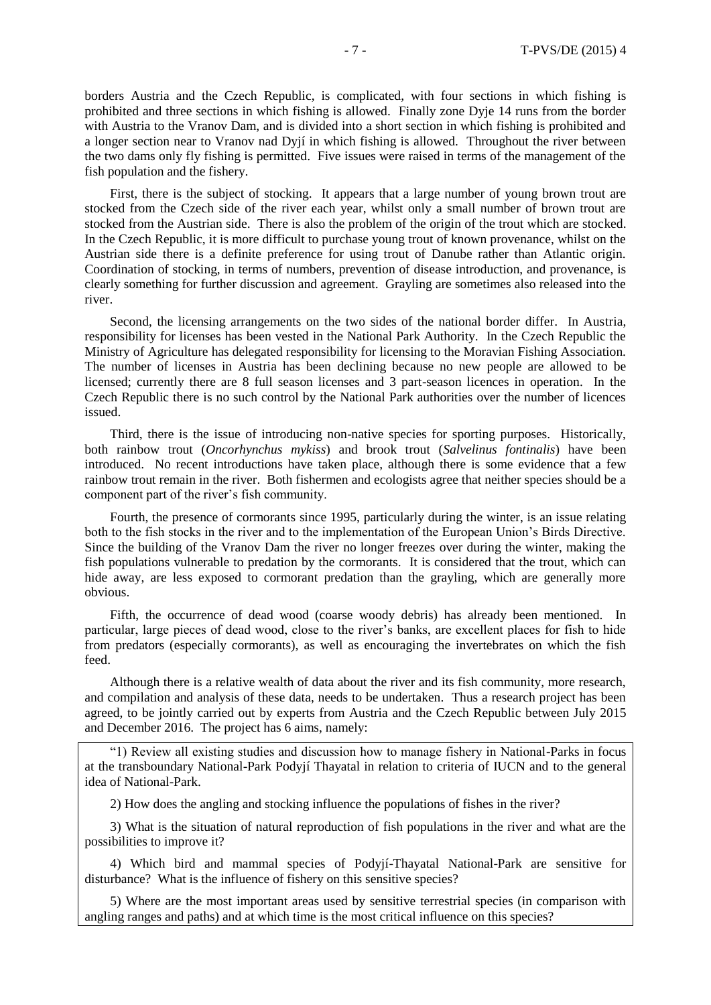borders Austria and the Czech Republic, is complicated, with four sections in which fishing is prohibited and three sections in which fishing is allowed. Finally zone Dyje 14 runs from the border with Austria to the Vranov Dam, and is divided into a short section in which fishing is prohibited and a longer section near to Vranov nad Dyjí in which fishing is allowed. Throughout the river between the two dams only fly fishing is permitted. Five issues were raised in terms of the management of the fish population and the fishery.

First, there is the subject of stocking. It appears that a large number of young brown trout are stocked from the Czech side of the river each year, whilst only a small number of brown trout are stocked from the Austrian side. There is also the problem of the origin of the trout which are stocked. In the Czech Republic, it is more difficult to purchase young trout of known provenance, whilst on the Austrian side there is a definite preference for using trout of Danube rather than Atlantic origin. Coordination of stocking, in terms of numbers, prevention of disease introduction, and provenance, is clearly something for further discussion and agreement. Grayling are sometimes also released into the river.

Second, the licensing arrangements on the two sides of the national border differ. In Austria, responsibility for licenses has been vested in the National Park Authority. In the Czech Republic the Ministry of Agriculture has delegated responsibility for licensing to the Moravian Fishing Association. The number of licenses in Austria has been declining because no new people are allowed to be licensed; currently there are 8 full season licenses and 3 part-season licences in operation. In the Czech Republic there is no such control by the National Park authorities over the number of licences issued.

Third, there is the issue of introducing non-native species for sporting purposes. Historically, both rainbow trout (*Oncorhynchus mykiss*) and brook trout (*Salvelinus fontinalis*) have been introduced. No recent introductions have taken place, although there is some evidence that a few rainbow trout remain in the river. Both fishermen and ecologists agree that neither species should be a component part of the river's fish community.

Fourth, the presence of cormorants since 1995, particularly during the winter, is an issue relating both to the fish stocks in the river and to the implementation of the European Union's Birds Directive. Since the building of the Vranov Dam the river no longer freezes over during the winter, making the fish populations vulnerable to predation by the cormorants. It is considered that the trout, which can hide away, are less exposed to cormorant predation than the grayling, which are generally more obvious.

Fifth, the occurrence of dead wood (coarse woody debris) has already been mentioned. In particular, large pieces of dead wood, close to the river's banks, are excellent places for fish to hide from predators (especially cormorants), as well as encouraging the invertebrates on which the fish feed.

Although there is a relative wealth of data about the river and its fish community, more research, and compilation and analysis of these data, needs to be undertaken. Thus a research project has been agreed, to be jointly carried out by experts from Austria and the Czech Republic between July 2015 and December 2016. The project has 6 aims, namely:

"1) Review all existing studies and discussion how to manage fishery in National-Parks in focus at the transboundary National-Park Podyjí Thayatal in relation to criteria of IUCN and to the general idea of National-Park.

2) How does the angling and stocking influence the populations of fishes in the river?

3) What is the situation of natural reproduction of fish populations in the river and what are the possibilities to improve it?

4) Which bird and mammal species of Podyjí-Thayatal National-Park are sensitive for disturbance? What is the influence of fishery on this sensitive species?

5) Where are the most important areas used by sensitive terrestrial species (in comparison with angling ranges and paths) and at which time is the most critical influence on this species?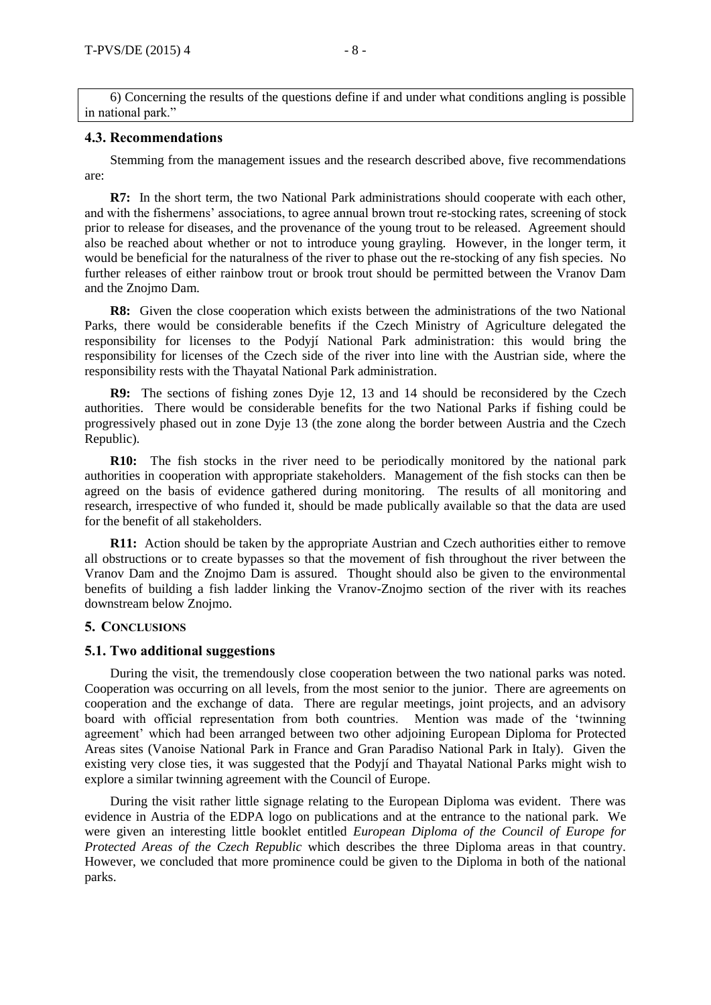6) Concerning the results of the questions define if and under what conditions angling is possible in national park."

#### **4.3. Recommendations**

Stemming from the management issues and the research described above, five recommendations are:

**R7:** In the short term, the two National Park administrations should cooperate with each other, and with the fishermens' associations, to agree annual brown trout re-stocking rates, screening of stock prior to release for diseases, and the provenance of the young trout to be released. Agreement should also be reached about whether or not to introduce young grayling. However, in the longer term, it would be beneficial for the naturalness of the river to phase out the re-stocking of any fish species. No further releases of either rainbow trout or brook trout should be permitted between the Vranov Dam and the Znojmo Dam.

**R8:** Given the close cooperation which exists between the administrations of the two National Parks, there would be considerable benefits if the Czech Ministry of Agriculture delegated the responsibility for licenses to the Podyjí National Park administration: this would bring the responsibility for licenses of the Czech side of the river into line with the Austrian side, where the responsibility rests with the Thayatal National Park administration.

**R9:** The sections of fishing zones Dyje 12, 13 and 14 should be reconsidered by the Czech authorities. There would be considerable benefits for the two National Parks if fishing could be progressively phased out in zone Dyje 13 (the zone along the border between Austria and the Czech Republic).

**R10:** The fish stocks in the river need to be periodically monitored by the national park authorities in cooperation with appropriate stakeholders. Management of the fish stocks can then be agreed on the basis of evidence gathered during monitoring. The results of all monitoring and research, irrespective of who funded it, should be made publically available so that the data are used for the benefit of all stakeholders.

**R11:** Action should be taken by the appropriate Austrian and Czech authorities either to remove all obstructions or to create bypasses so that the movement of fish throughout the river between the Vranov Dam and the Znojmo Dam is assured. Thought should also be given to the environmental benefits of building a fish ladder linking the Vranov-Znojmo section of the river with its reaches downstream below Znojmo.

# **5. CONCLUSIONS**

# **5.1. Two additional suggestions**

During the visit, the tremendously close cooperation between the two national parks was noted. Cooperation was occurring on all levels, from the most senior to the junior. There are agreements on cooperation and the exchange of data. There are regular meetings, joint projects, and an advisory board with official representation from both countries. Mention was made of the 'twinning agreement' which had been arranged between two other adjoining European Diploma for Protected Areas sites (Vanoise National Park in France and Gran Paradiso National Park in Italy). Given the existing very close ties, it was suggested that the Podyjí and Thayatal National Parks might wish to explore a similar twinning agreement with the Council of Europe.

During the visit rather little signage relating to the European Diploma was evident. There was evidence in Austria of the EDPA logo on publications and at the entrance to the national park. We were given an interesting little booklet entitled *European Diploma of the Council of Europe for Protected Areas of the Czech Republic* which describes the three Diploma areas in that country. However, we concluded that more prominence could be given to the Diploma in both of the national parks.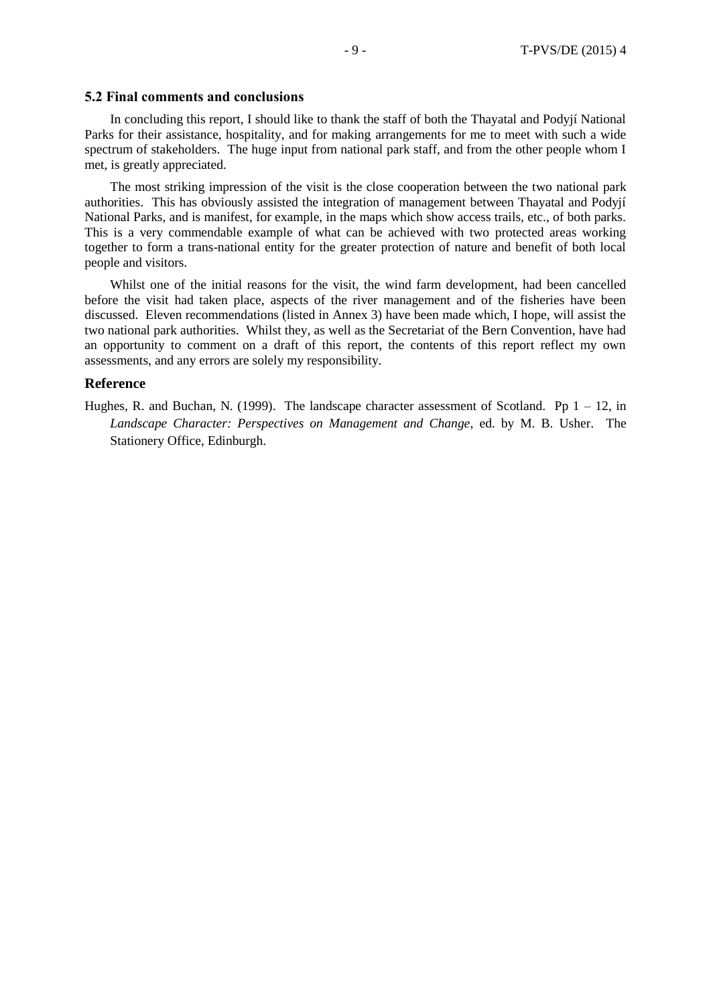#### **5.2 Final comments and conclusions**

In concluding this report, I should like to thank the staff of both the Thayatal and Podyjí National Parks for their assistance, hospitality, and for making arrangements for me to meet with such a wide spectrum of stakeholders. The huge input from national park staff, and from the other people whom I met, is greatly appreciated.

The most striking impression of the visit is the close cooperation between the two national park authorities. This has obviously assisted the integration of management between Thayatal and Podyjí National Parks, and is manifest, for example, in the maps which show access trails, etc., of both parks. This is a very commendable example of what can be achieved with two protected areas working together to form a trans-national entity for the greater protection of nature and benefit of both local people and visitors.

Whilst one of the initial reasons for the visit, the wind farm development, had been cancelled before the visit had taken place, aspects of the river management and of the fisheries have been discussed. Eleven recommendations (listed in Annex 3) have been made which, I hope, will assist the two national park authorities. Whilst they, as well as the Secretariat of the Bern Convention, have had an opportunity to comment on a draft of this report, the contents of this report reflect my own assessments, and any errors are solely my responsibility.

# **Reference**

Hughes, R. and Buchan, N. (1999). The landscape character assessment of Scotland. Pp  $1 - 12$ , in *Landscape Character: Perspectives on Management and Change*, ed. by M. B. Usher*.* The Stationery Office, Edinburgh.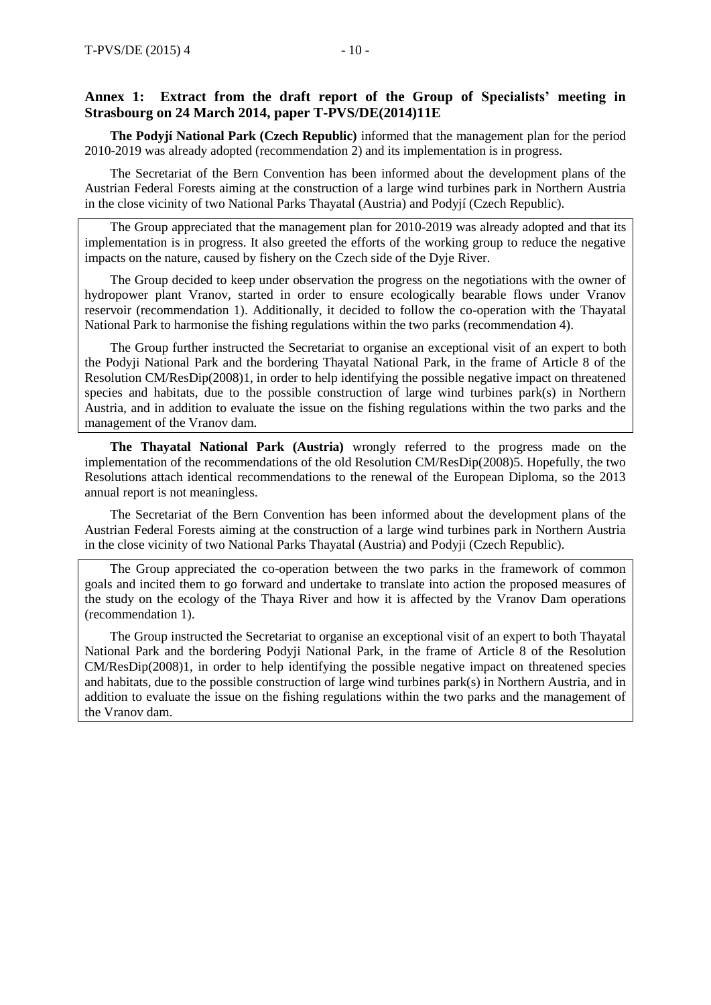# **Annex 1: Extract from the draft report of the Group of Specialists' meeting in Strasbourg on 24 March 2014, paper T-PVS/DE(2014)11E**

**The Podyjí National Park (Czech Republic)** informed that the management plan for the period 2010-2019 was already adopted (recommendation 2) and its implementation is in progress.

The Secretariat of the Bern Convention has been informed about the development plans of the Austrian Federal Forests aiming at the construction of a large wind turbines park in Northern Austria in the close vicinity of two National Parks Thayatal (Austria) and Podyjí (Czech Republic).

The Group appreciated that the management plan for 2010-2019 was already adopted and that its implementation is in progress. It also greeted the efforts of the working group to reduce the negative impacts on the nature, caused by fishery on the Czech side of the Dyje River.

The Group decided to keep under observation the progress on the negotiations with the owner of hydropower plant Vranov, started in order to ensure ecologically bearable flows under Vranov reservoir (recommendation 1). Additionally, it decided to follow the co-operation with the Thayatal National Park to harmonise the fishing regulations within the two parks (recommendation 4).

The Group further instructed the Secretariat to organise an exceptional visit of an expert to both the Podyji National Park and the bordering Thayatal National Park, in the frame of Article 8 of the Resolution CM/ResDip(2008)1, in order to help identifying the possible negative impact on threatened species and habitats, due to the possible construction of large wind turbines park(s) in Northern Austria, and in addition to evaluate the issue on the fishing regulations within the two parks and the management of the Vranov dam.

**The Thayatal National Park (Austria)** wrongly referred to the progress made on the implementation of the recommendations of the old Resolution CM/ResDip(2008)5. Hopefully, the two Resolutions attach identical recommendations to the renewal of the European Diploma, so the 2013 annual report is not meaningless.

The Secretariat of the Bern Convention has been informed about the development plans of the Austrian Federal Forests aiming at the construction of a large wind turbines park in Northern Austria in the close vicinity of two National Parks Thayatal (Austria) and Podyji (Czech Republic).

The Group appreciated the co-operation between the two parks in the framework of common goals and incited them to go forward and undertake to translate into action the proposed measures of the study on the ecology of the Thaya River and how it is affected by the Vranov Dam operations (recommendation 1).

The Group instructed the Secretariat to organise an exceptional visit of an expert to both Thayatal National Park and the bordering Podyji National Park, in the frame of Article 8 of the Resolution CM/ResDip(2008)1, in order to help identifying the possible negative impact on threatened species and habitats, due to the possible construction of large wind turbines park(s) in Northern Austria, and in addition to evaluate the issue on the fishing regulations within the two parks and the management of the Vranov dam.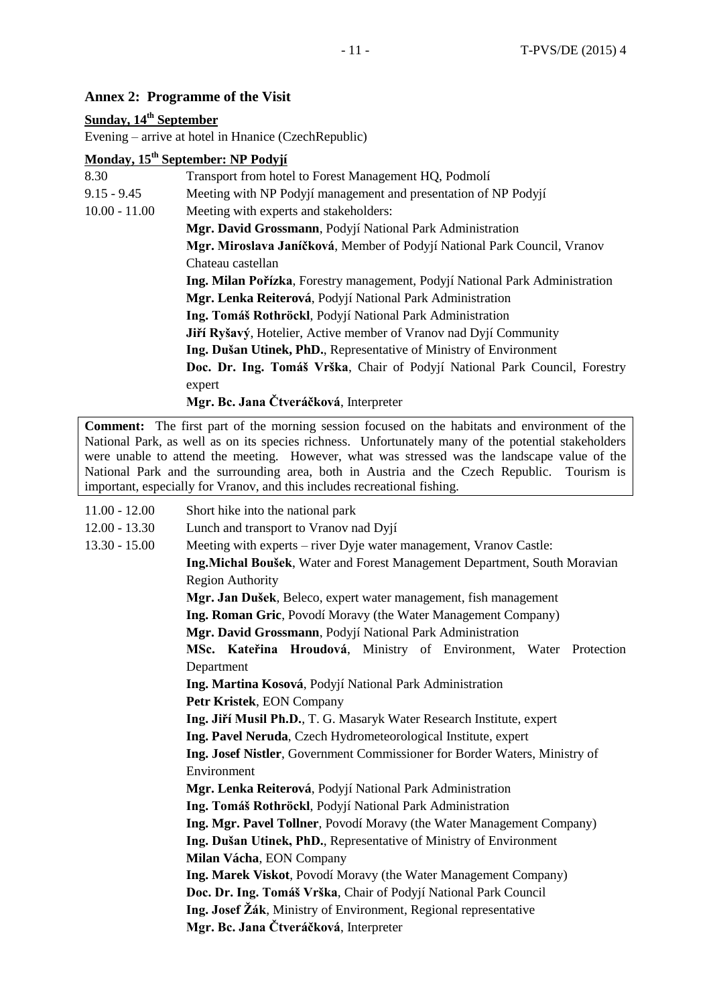# **Annex 2: Programme of the Visit**

# **Sunday, 14th September**

Evening – arrive at hotel in Hnanice (CzechRepublic)

# **Monday, 15th September: NP Podyjí**

| 8.30            | Transport from hotel to Forest Management HQ, Podmolí                        |
|-----------------|------------------------------------------------------------------------------|
| $9.15 - 9.45$   | Meeting with NP Podyjí management and presentation of NP Podyjí              |
| $10.00 - 11.00$ | Meeting with experts and stakeholders:                                       |
|                 | Mgr. David Grossmann, Podyjí National Park Administration                    |
|                 | Mgr. Miroslava Janíčková, Member of Podyjí National Park Council, Vranov     |
|                 | Chateau castellan                                                            |
|                 | Ing. Milan Pořízka, Forestry management, Podyjí National Park Administration |
|                 | Mgr. Lenka Reiterová, Podyjí National Park Administration                    |
|                 | Ing. Tomáš Rothröckl, Podyjí National Park Administration                    |
|                 | <b>Jiří Ryšavý</b> , Hotelier, Active member of Vranov nad Dyjí Community    |
|                 | Ing. Dušan Utinek, PhD., Representative of Ministry of Environment           |
|                 | Doc. Dr. Ing. Tomáš Vrška, Chair of Podyjí National Park Council, Forestry   |
|                 | expert                                                                       |
|                 | Mgr. Bc. Jana Čtveráčková, Interpreter                                       |

**Comment:** The first part of the morning session focused on the habitats and environment of the National Park, as well as on its species richness. Unfortunately many of the potential stakeholders were unable to attend the meeting. However, what was stressed was the landscape value of the National Park and the surrounding area, both in Austria and the Czech Republic. Tourism is important, especially for Vranov, and this includes recreational fishing.

| $11.00 - 12.00$ | Short hike into the national park                                          |
|-----------------|----------------------------------------------------------------------------|
| $12.00 - 13.30$ | Lunch and transport to Vranov nad Dyjí                                     |
| $13.30 - 15.00$ | Meeting with experts – river Dyje water management, Vranov Castle:         |
|                 | Ing.Michal Boušek, Water and Forest Management Department, South Moravian  |
|                 | <b>Region Authority</b>                                                    |
|                 | Mgr. Jan Dušek, Beleco, expert water management, fish management           |
|                 | Ing. Roman Gric, Povodí Moravy (the Water Management Company)              |
|                 | Mgr. David Grossmann, Podyjí National Park Administration                  |
|                 | MSc. Kateřina Hroudová, Ministry of Environment, Water Protection          |
|                 | Department                                                                 |
|                 | Ing. Martina Kosová, Podyjí National Park Administration                   |
|                 | Petr Kristek, EON Company                                                  |
|                 | Ing. Jiří Musil Ph.D., T. G. Masaryk Water Research Institute, expert      |
|                 | Ing. Pavel Neruda, Czech Hydrometeorological Institute, expert             |
|                 | Ing. Josef Nistler, Government Commissioner for Border Waters, Ministry of |
|                 | Environment                                                                |
|                 | Mgr. Lenka Reiterová, Podyjí National Park Administration                  |
|                 | Ing. Tomáš Rothröckl, Podyjí National Park Administration                  |
|                 | Ing. Mgr. Pavel Tollner, Povodí Moravy (the Water Management Company)      |
|                 | Ing. Dušan Utinek, PhD., Representative of Ministry of Environment         |
|                 | Milan Vácha, EON Company                                                   |
|                 | Ing. Marek Viskot, Povodí Moravy (the Water Management Company)            |
|                 | Doc. Dr. Ing. Tomáš Vrška, Chair of Podyjí National Park Council           |
|                 | Ing. Josef Žák, Ministry of Environment, Regional representative           |
|                 | Mgr. Bc. Jana Čtveráčková, Interpreter                                     |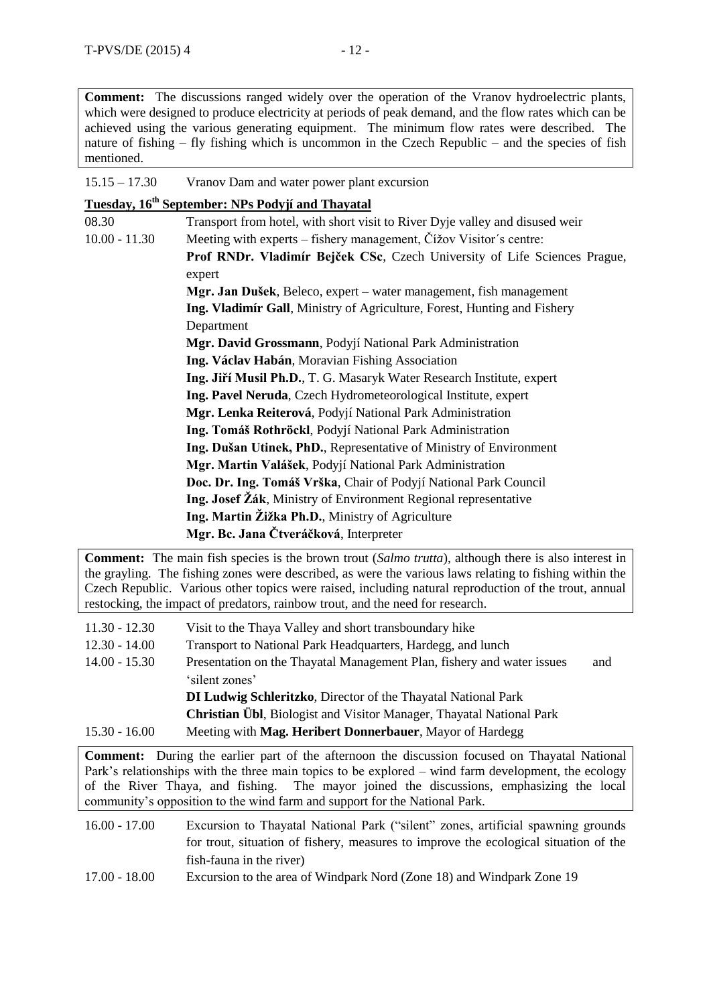| $15.15 - 17.30$<br>Vranov Dam and water power plant excursion |
|---------------------------------------------------------------|
|---------------------------------------------------------------|

|                 | Tuesday, 16 <sup>th</sup> September: NPs Podyjí and Thayatal                 |
|-----------------|------------------------------------------------------------------------------|
| 08.30           | Transport from hotel, with short visit to River Dyje valley and disused weir |
| $10.00 - 11.30$ | Meeting with experts – fishery management, Čížov Visitor's centre:           |
|                 | Prof RNDr. Vladimír Bejček CSc, Czech University of Life Sciences Prague,    |
|                 | expert                                                                       |
|                 | Mgr. Jan Dušek, Beleco, expert - water management, fish management           |
|                 | Ing. Vladimír Gall, Ministry of Agriculture, Forest, Hunting and Fishery     |
|                 | Department                                                                   |
|                 | Mgr. David Grossmann, Podyjí National Park Administration                    |
|                 | Ing. Václav Habán, Moravian Fishing Association                              |
|                 | Ing. Jiří Musil Ph.D., T. G. Masaryk Water Research Institute, expert        |
|                 | Ing. Pavel Neruda, Czech Hydrometeorological Institute, expert               |
|                 | Mgr. Lenka Reiterová, Podyjí National Park Administration                    |
|                 | Ing. Tomáš Rothröckl, Podyjí National Park Administration                    |
|                 | Ing. Dušan Utinek, PhD., Representative of Ministry of Environment           |
|                 | Mgr. Martin Valášek, Podyjí National Park Administration                     |
|                 | Doc. Dr. Ing. Tomáš Vrška, Chair of Podyjí National Park Council             |
|                 | Ing. Josef Žák, Ministry of Environment Regional representative              |
|                 | Ing. Martin Žižka Ph.D., Ministry of Agriculture                             |
|                 | Mgr. Bc. Jana Čtveráčková, Interpreter                                       |

**Comment:** The main fish species is the brown trout (*Salmo trutta*), although there is also interest in the grayling. The fishing zones were described, as were the various laws relating to fishing within the Czech Republic. Various other topics were raised, including natural reproduction of the trout, annual restocking, the impact of predators, rainbow trout, and the need for research.

| $11.30 - 12.30$ | Visit to the Thaya Valley and short transboundary hike                       |     |
|-----------------|------------------------------------------------------------------------------|-----|
| $12.30 - 14.00$ | Transport to National Park Headquarters, Hardegg, and lunch                  |     |
| $14.00 - 15.30$ | Presentation on the Thayatal Management Plan, fishery and water issues       | and |
|                 | 'silent zones'                                                               |     |
|                 | <b>DI Ludwig Schleritzko</b> , Director of the Thayatal National Park        |     |
|                 | <b>Christian Übl</b> , Biologist and Visitor Manager, Thayatal National Park |     |
| $15.30 - 16.00$ | Meeting with Mag. Heribert Donnerbauer, Mayor of Hardegg                     |     |

**Comment:** During the earlier part of the afternoon the discussion focused on Thayatal National Park's relationships with the three main topics to be explored – wind farm development, the ecology of the River Thaya, and fishing. The mayor joined the discussions, emphasizing the local community's opposition to the wind farm and support for the National Park.

- 16.00 17.00 Excursion to Thayatal National Park ("silent" zones, artificial spawning grounds for trout, situation of fishery, measures to improve the ecological situation of the fish-fauna in the river)
- 17.00 18.00 Excursion to the area of Windpark Nord (Zone 18) and Windpark Zone 19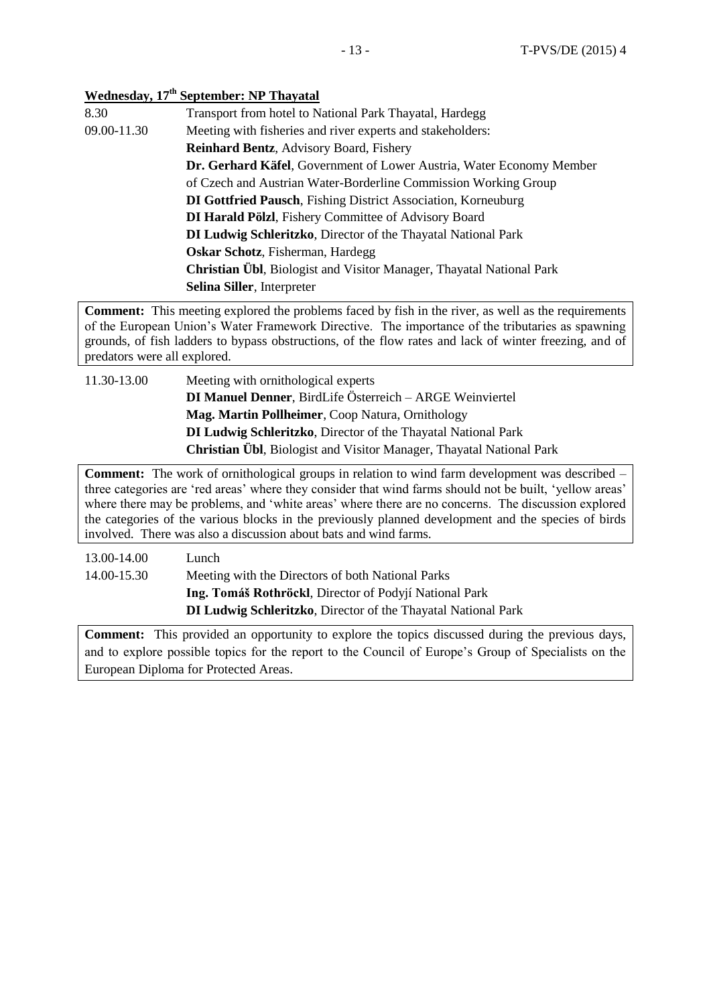# **Wednesday, 17th September: NP Thayatal**

| 8.30        | Transport from hotel to National Park Thayatal, Hardegg                      |
|-------------|------------------------------------------------------------------------------|
| 09.00-11.30 | Meeting with fisheries and river experts and stakeholders:                   |
|             | <b>Reinhard Bentz, Advisory Board, Fishery</b>                               |
|             | <b>Dr. Gerhard Käfel, Government of Lower Austria, Water Economy Member</b>  |
|             | of Czech and Austrian Water-Borderline Commission Working Group              |
|             | <b>DI Gottfried Pausch, Fishing District Association, Korneuburg</b>         |
|             | <b>DI Harald Pölzl</b> , Fishery Committee of Advisory Board                 |
|             | <b>DI Ludwig Schleritzko</b> , Director of the Thayatal National Park        |
|             | <b>Oskar Schotz</b> , Fisherman, Hardegg                                     |
|             | <b>Christian Übl</b> , Biologist and Visitor Manager, Thayatal National Park |
|             | Selina Siller, Interpreter                                                   |

**Comment:** This meeting explored the problems faced by fish in the river, as well as the requirements of the European Union's Water Framework Directive. The importance of the tributaries as spawning grounds, of fish ladders to bypass obstructions, of the flow rates and lack of winter freezing, and of predators were all explored.

11.30-13.00 Meeting with ornithological experts **DI Manuel Denner**, BirdLife Österreich – ARGE Weinviertel **Mag. Martin Pollheimer**, Coop Natura, Ornithology **DI Ludwig Schleritzko**, Director of the Thayatal National Park **Christian Übl**, Biologist and Visitor Manager, Thayatal National Park

**Comment:** The work of ornithological groups in relation to wind farm development was described – three categories are 'red areas' where they consider that wind farms should not be built, 'yellow areas' where there may be problems, and 'white areas' where there are no concerns. The discussion explored the categories of the various blocks in the previously planned development and the species of birds involved. There was also a discussion about bats and wind farms.

| Lunch                                                                 |
|-----------------------------------------------------------------------|
| Meeting with the Directors of both National Parks                     |
| Ing. Tomáš Rothröckl, Director of Podyjí National Park                |
| <b>DI Ludwig Schleritzko</b> , Director of the Thayatal National Park |
|                                                                       |

**Comment:** This provided an opportunity to explore the topics discussed during the previous days, and to explore possible topics for the report to the Council of Europe's Group of Specialists on the European Diploma for Protected Areas.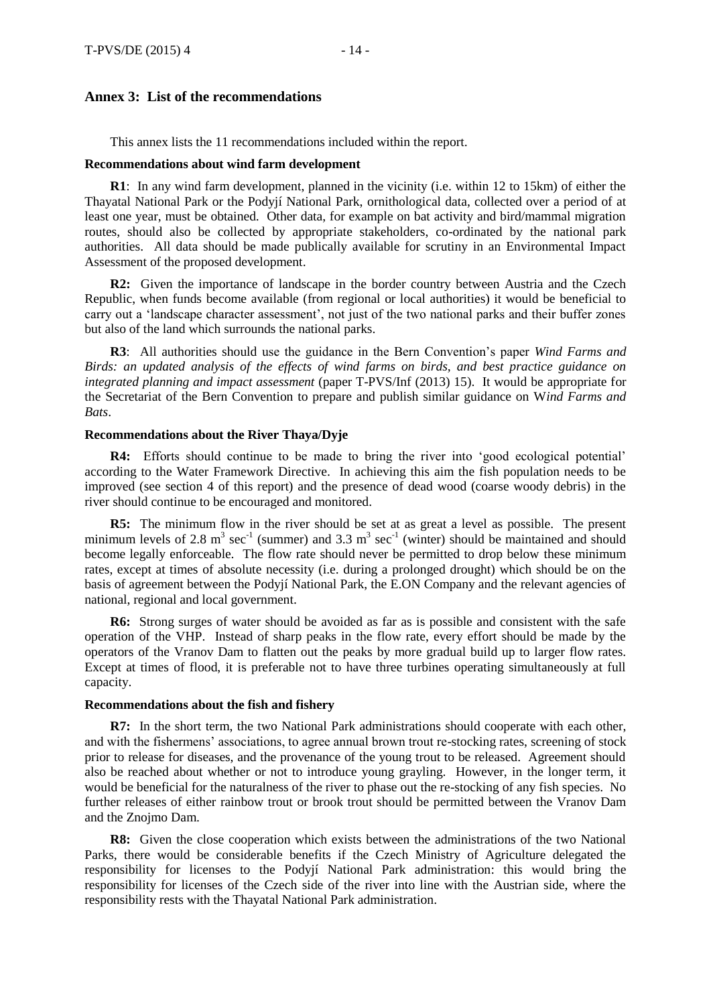# **Annex 3: List of the recommendations**

This annex lists the 11 recommendations included within the report.

#### **Recommendations about wind farm development**

**R1**: In any wind farm development, planned in the vicinity (i.e. within 12 to 15km) of either the Thayatal National Park or the Podyjí National Park, ornithological data, collected over a period of at least one year, must be obtained. Other data, for example on bat activity and bird/mammal migration routes, should also be collected by appropriate stakeholders, co-ordinated by the national park authorities. All data should be made publically available for scrutiny in an Environmental Impact Assessment of the proposed development.

**R2:** Given the importance of landscape in the border country between Austria and the Czech Republic, when funds become available (from regional or local authorities) it would be beneficial to carry out a 'landscape character assessment', not just of the two national parks and their buffer zones but also of the land which surrounds the national parks.

**R3**: All authorities should use the guidance in the Bern Convention's paper *Wind Farms and Birds: an updated analysis of the effects of wind farms on birds, and best practice guidance on integrated planning and impact assessment* (paper T-PVS/Inf (2013) 15). It would be appropriate for the Secretariat of the Bern Convention to prepare and publish similar guidance on W*ind Farms and Bats*.

#### **Recommendations about the River Thaya/Dyje**

**R4:** Efforts should continue to be made to bring the river into 'good ecological potential' according to the Water Framework Directive. In achieving this aim the fish population needs to be improved (see section 4 of this report) and the presence of dead wood (coarse woody debris) in the river should continue to be encouraged and monitored.

**R5:** The minimum flow in the river should be set at as great a level as possible. The present minimum levels of 2.8 m<sup>3</sup> sec<sup>-1</sup> (summer) and 3.3 m<sup>3</sup> sec<sup>-1</sup> (winter) should be maintained and should become legally enforceable. The flow rate should never be permitted to drop below these minimum rates, except at times of absolute necessity (i.e. during a prolonged drought) which should be on the basis of agreement between the Podyjí National Park, the E.ON Company and the relevant agencies of national, regional and local government.

**R6:** Strong surges of water should be avoided as far as is possible and consistent with the safe operation of the VHP. Instead of sharp peaks in the flow rate, every effort should be made by the operators of the Vranov Dam to flatten out the peaks by more gradual build up to larger flow rates. Except at times of flood, it is preferable not to have three turbines operating simultaneously at full capacity.

### **Recommendations about the fish and fishery**

**R7:** In the short term, the two National Park administrations should cooperate with each other, and with the fishermens' associations, to agree annual brown trout re-stocking rates, screening of stock prior to release for diseases, and the provenance of the young trout to be released. Agreement should also be reached about whether or not to introduce young grayling. However, in the longer term, it would be beneficial for the naturalness of the river to phase out the re-stocking of any fish species. No further releases of either rainbow trout or brook trout should be permitted between the Vranov Dam and the Znojmo Dam.

**R8:** Given the close cooperation which exists between the administrations of the two National Parks, there would be considerable benefits if the Czech Ministry of Agriculture delegated the responsibility for licenses to the Podyjí National Park administration: this would bring the responsibility for licenses of the Czech side of the river into line with the Austrian side, where the responsibility rests with the Thayatal National Park administration.